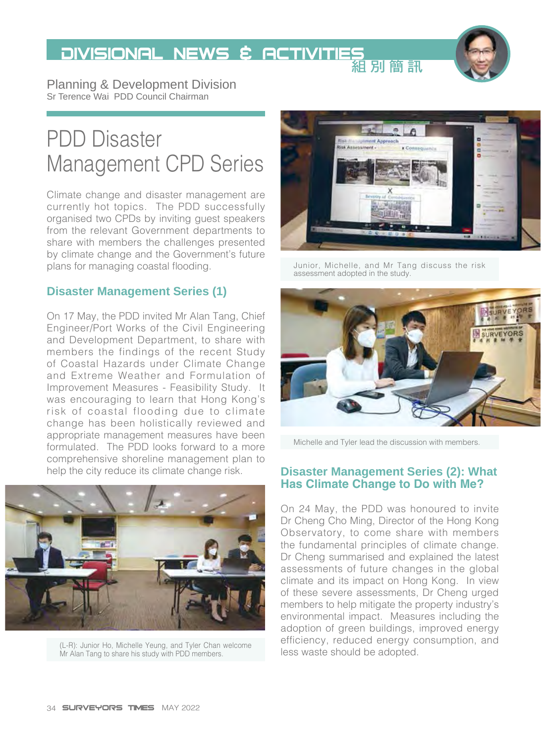# DIVISIONAL NEWS & ACTIVITIES<br>組別簡訊

Planning & Development Division Sr Terence Wai PDD Council Chairman

## PDD Disaster Management CPD Series

Climate change and disaster management are currently hot topics. The PDD successfully organised two CPDs by inviting guest speakers from the relevant Government departments to share with members the challenges presented by climate change and the Government's future plans for managing coastal flooding.

#### **Disaster Management Series (1)**

On 17 May, the PDD invited Mr Alan Tang, Chief Engineer/Port Works of the Civil Engineering and Development Department, to share with members the findings of the recent Study of Coastal Hazards under Climate Change and Extreme Weather and Formulation of Improvement Measures - Feasibility Study. It was encouraging to learn that Hong Kong's risk of coastal flooding due to climate change has been holistically reviewed and appropriate management measures have been formulated. The PDD looks forward to a more comprehensive shoreline management plan to



(L-R): Junior Ho, Michelle Yeung, and Tyler Chan welcome and connectively, reduced energy of the Alopted.<br>Mr Alan Tang to share his study with PDD members. **The Chan welcome and the State Should be adopted.** 



Junior, Michelle, and Mr Tang discuss the risk assessment adopted in the study.



Michelle and Tyler lead the discussion with members.

#### help the city reduce its climate change risk. **Disaster Management Series (2): What Has Climate Change to Do with Me?**

On 24 May, the PDD was honoured to invite Dr Cheng Cho Ming, Director of the Hong Kong Observatory, to come share with members the fundamental principles of climate change. Dr Cheng summarised and explained the latest assessments of future changes in the global climate and its impact on Hong Kong. In view of these severe assessments, Dr Cheng urged members to help mitigate the property industry's environmental impact. Measures including the adoption of green buildings, improved energy efficiency, reduced energy consumption, and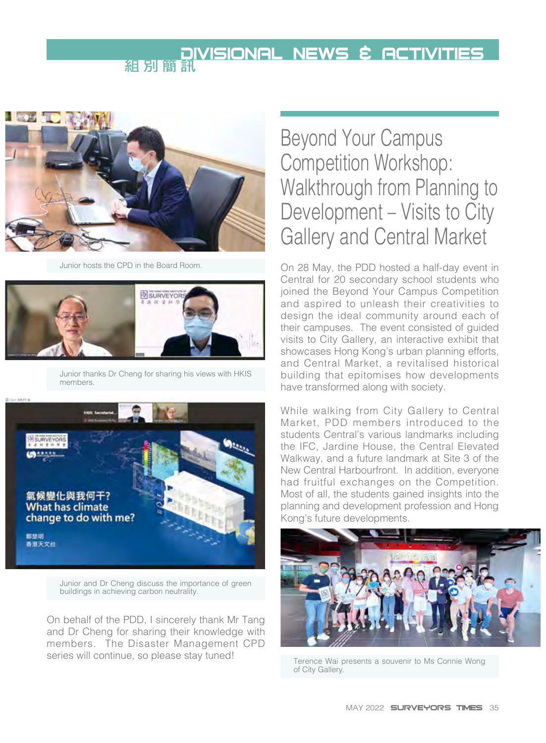# **DIVISIONAL NEWS & ACTIVITIES**



Junior hosts the CPD in the Board Room.



Junior thanks Dr Cheng for sharing his views with HKIS members.



Junior and Dr Cheng discuss the importance of green buildings in achieving carbon neutrality.

On behalf of the PDD, I sincerely thank Mr Tang and Dr Cheng for sharing their knowledge with members. The Disaster Management CPD series will continue, so please stay tuned!

### Beyond Your Campus Competition Workshop: Walkthrough from Planning to Development – Visits to City Gallery and Central Market

On 28 May, the PDD hosted a half-day event in Central for 20 secondary school students who joined the Beyond Your Campus Competition and aspired to unleash their creativities to design the ideal community around each of their campuses. The event consisted of guided visits to City Gallery, an interactive exhibit that showcases Hong Kong's urban planning efforts, and Central Market, a revitalised historical building that epitomises how developments have transformed along with society.

While walking from City Gallery to Central Market, PDD members introduced to the students Central's various landmarks including the IFC, Jardine House, the Central Elevated Walkway, and a future landmark at Site 3 of the New Central Harbourfront. In addition, everyone had fruitful exchanges on the Competition. Most of all, the students gained insights into the planning and development profession and Hong Kong's future developments.



Terence Wai presents a souvenir to Ms Connie Wong of City Gallery.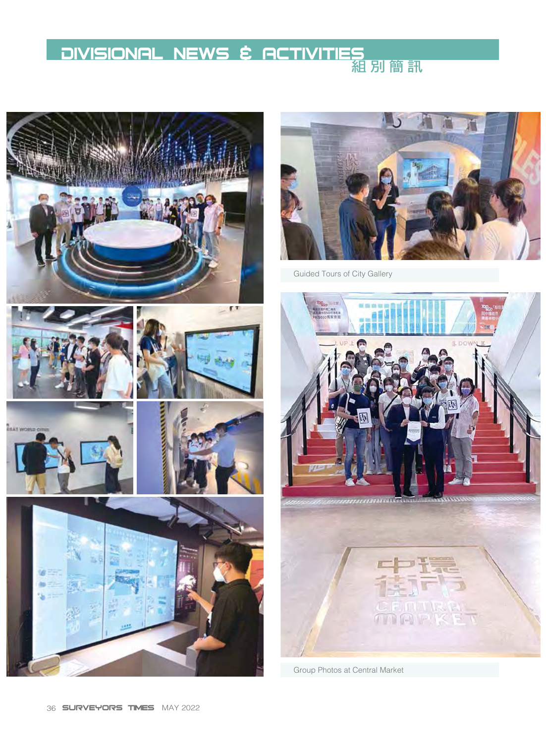# **DIVISIONAL NEWS & ACTIVITIES**





Guided Tours of City Gallery

oroma <del>a</del> 

Group Photos at Central Market